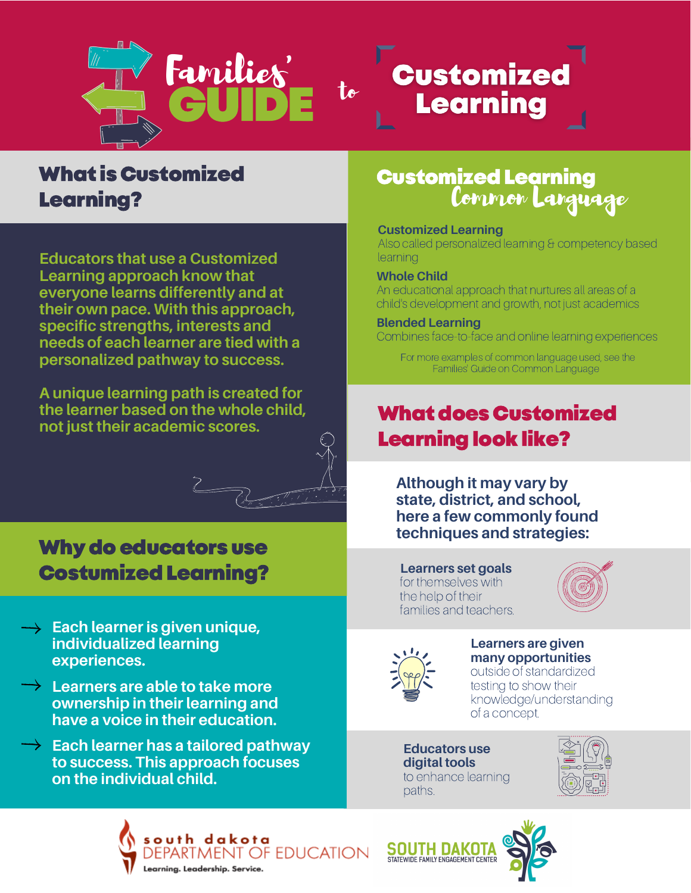



**Educators that use a Customized Learning approach know that everyone learns differently and at their own pace. With this approach, specific strengths, interests and needs of each learner are tied with a personalized pathway to success.**

**A unique learning path is created for the learner based on the whole child, not just their academic scores.**

# Why do educators use CostumizedLearning?

- **Each learner is given unique, individualized learning experiences.**
- **Learners are able to take more ownership in their learning and have a voice in their education.**
- **Each learner has a tailored pathway to success. This approach focuses on the individual child.**

# CustomizedLearning Common Language

**Customized** 

Learning

# **Customized Learning**

Also called personalized learning & competency based **learning** 

# **Whole Child**

An educational approach that nurtures all areas of a child's development and growth, not just academics

# **Blended Learning**

Combines face-to-face and online learning experiences

For more examples of common language used, see the Families' Guide on Common Language

# **What does Customized** Learning look like?

**Although it may vary by state, district, and school, here a few commonly found techniques and strategies:**

#### **Learners set goals** for themselves with the help of their families and teachers.





# **Learners are given many opportunities**

outside of standardized testing to show their knowledge/understanding of a concept.

**Educators use digital tools** to enhance learning paths.





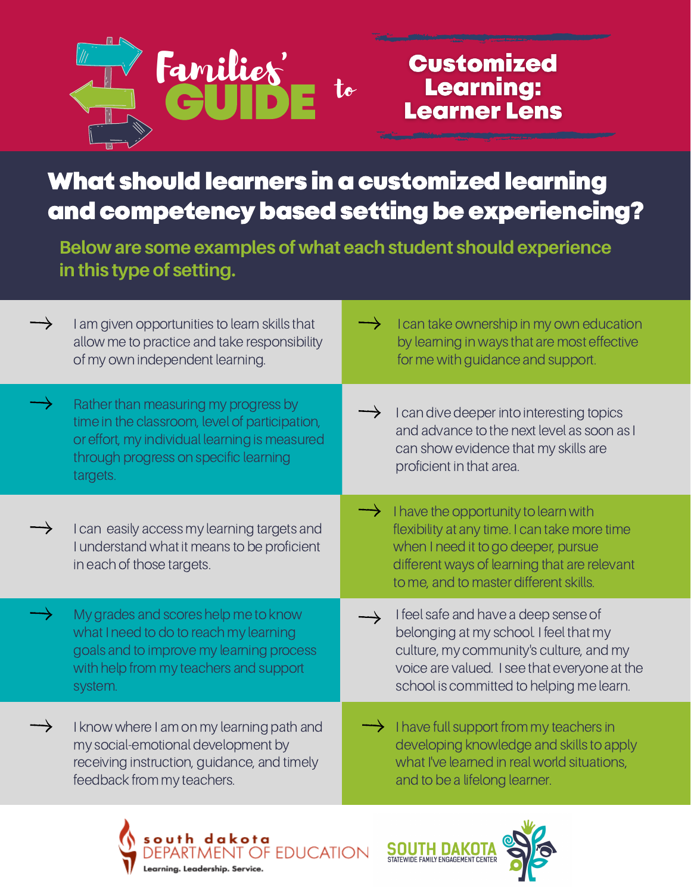

# **Customized Learning: Learner Lens**

What should learners in a customized learning and competency based setting be experiencing?

**Below are some examples of what each student shouldexperience in this type of setting.**

| $\rightarrow$ | I am given opportunities to learn skills that<br>allow me to practice and take responsibility<br>of my own independent learning.                                                             | $\rightarrow$ | I can take ownership in my own education<br>by learning in ways that are most effective<br>for me with guidance and support.                                                                                           |
|---------------|----------------------------------------------------------------------------------------------------------------------------------------------------------------------------------------------|---------------|------------------------------------------------------------------------------------------------------------------------------------------------------------------------------------------------------------------------|
|               | Rather than measuring my progress by<br>time in the classroom, level of participation,<br>or effort, my individual learning is measured<br>through progress on specific learning<br>targets. |               | I can dive deeper into interesting topics<br>and advance to the next level as soon as I<br>can show evidence that my skills are<br>proficient in that area.                                                            |
|               | I can easily access my learning targets and<br>I understand what it means to be proficient<br>in each of those targets.                                                                      |               | I have the opportunity to learn with<br>flexibility at any time. I can take more time<br>when I need it to go deeper, pursue<br>different ways of learning that are relevant<br>to me, and to master different skills. |
|               | My grades and scores help me to know<br>what I need to do to reach my learning<br>goals and to improve my learning process<br>with help from my teachers and support<br>system.              |               | I feel safe and have a deep sense of<br>belonging at my school. I feel that my<br>culture, my community's culture, and my<br>voice are valued. I see that everyone at the<br>school is committed to helping me learn.  |
|               | I know where I am on my learning path and<br>my social-emotional development by<br>receiving instruction, guidance, and timely<br>feedback from my teachers.                                 |               | I have full support from my teachers in<br>developing knowledge and skills to apply<br>what I've learned in real world situations,<br>and to be a lifelong learner.                                                    |
|               |                                                                                                                                                                                              |               | $\mathbf{M}$ .                                                                                                                                                                                                         |





**SOUTH DAKO**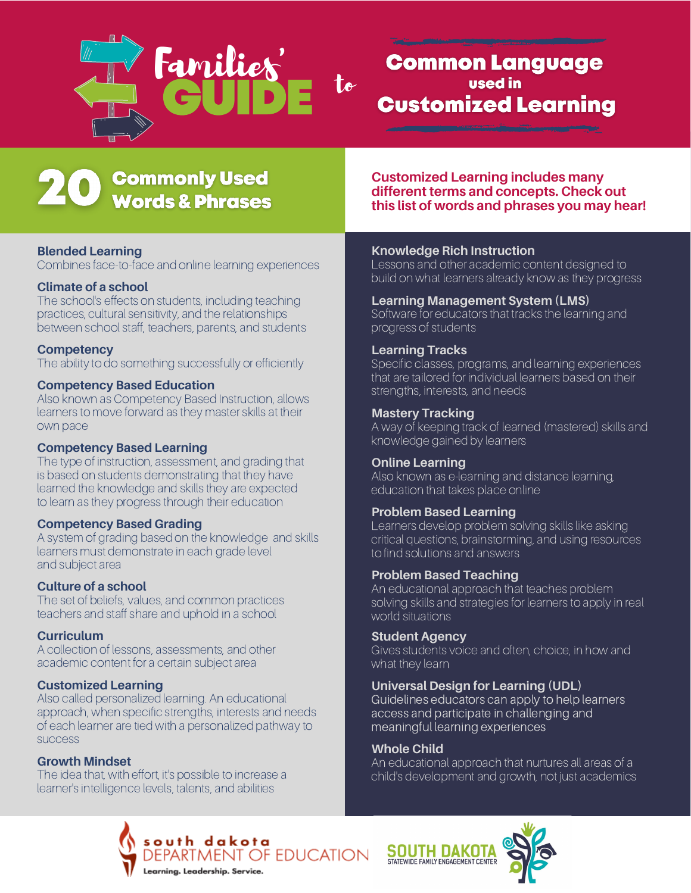

# **Common Language** used in **Customized Learning**

# **Commonly Used Words & Phrases**

# **Blended Learning**

Combines face-to-face and online learning experiences

# **Climate of a school**

The school's effects on students, including teaching practices, cultural sensitivity, and the relationships between school staff, teachers, parents, and students

### **Competency**

The ability to do something successfully or efficiently

#### **Competency Based Education**

Also known as Competency Based Instruction, allows learners to move forward as they master skills at their own pace

#### **Competency Based Learning**

The type of instruction, assessment, and grading that is based on students demonstrating that they have learned the knowledge and skills they are expected to learn as they progress through their education

#### **Competency Based Grading**

A system of grading based on the knowledge and skills learners must demonstrate in each grade level and subject area

# **Culture of a school**

The set of beliefs, values, and common practices teachers and staff share and uphold in a school

#### **Curriculum**

A collection of lessons, assessments, and other academic content for a certain subject area

#### **Customized Learning**

Also called personalized learning. An educational approach, when specific strengths, interests and needs of each learner are tied with a personalized pathway to success

# **Growth Mindset**

The idea that, with effort, it's possible to increase a learner's intelligence levels, talents, and abilities

**Customized Learning includes many different terms and concepts. Check out this list of words and phrases you may hear!**

### **Knowledge Rich Instruction**

Lessons and other academic content designed to build on what learners already know as they progress

### **Learning Management System (LMS)**

Software for educators that tracks the learning and progress of students

# **Learning Tracks**

Specific classes, programs, and learning experiences that are tailored for individual learners based on their strengths, interests, and needs

### **Mastery Tracking**

A way of keeping track of learned (mastered) skills and knowledge gained by learners

#### **Online Learning**

Also known as e-learning and distance learning, education that takes place online

# **Problem Based Learning**

Learners develop problem solving skills like asking critical questions, brainstorming, and using resources to find solutions and answers

#### **Problem Based Teaching**

An educational approach that teaches problem solving skills and strategies for learners to apply in real world situations

#### **Student Agency**

Gives students voice and often, choice, in how and what they learn

# **Universal Design for Learning (UDL)**

Guidelines educators can apply to help learners access and participate in challenging and meaningful learning experiences

### **Whole Child**

An educational approach that nurtures all areas of a child's development and growth, not just academics